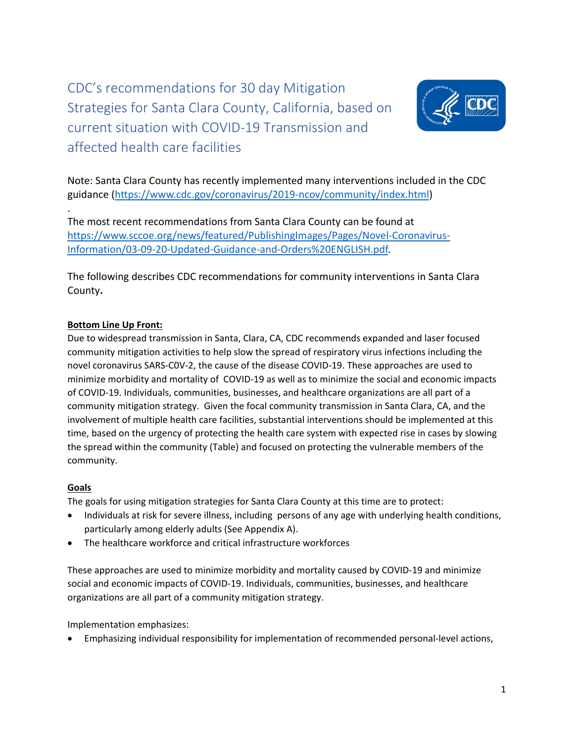CDC's recommendations for 30 day Mitigation Strategies for Santa Clara County, California, based on current situation with COVID-19 Transmission and affected health care facilities



Note: Santa Clara County has recently implemented many interventions included in the CDC guidance [\(https://www.cdc.gov/coronavirus/2019-ncov/community/index.html\)](https://www.cdc.gov/coronavirus/2019-ncov/community/index.html)

The most recent recommendations from Santa Clara County can be found at [https://www.sccoe.org/news/featured/PublishingImages/Pages/Novel-Coronavirus-](https://www.sccoe.org/news/featured/PublishingImages/Pages/Novel-Coronavirus-Information/03-09-20-Updated-Guidance-and-Orders%20ENGLISH.pdf)[Information/03-09-20-Updated-Guidance-and-Orders%20ENGLISH.pdf.](https://www.sccoe.org/news/featured/PublishingImages/Pages/Novel-Coronavirus-Information/03-09-20-Updated-Guidance-and-Orders%20ENGLISH.pdf)

The following describes CDC recommendations for community interventions in Santa Clara County**.** 

## **Bottom Line Up Front:**

Due to widespread transmission in Santa, Clara, CA, CDC recommends expanded and laser focused community mitigation activities to help slow the spread of respiratory virus infections including the novel coronavirus SARS-C0V-2, the cause of the disease COVID-19. These approaches are used to minimize morbidity and mortality of COVID-19 as well as to minimize the social and economic impacts of COVID-19. Individuals, communities, businesses, and healthcare organizations are all part of a community mitigation strategy. Given the focal community transmission in Santa Clara, CA, and the involvement of multiple health care facilities, substantial interventions should be implemented at this time, based on the urgency of protecting the health care system with expected rise in cases by slowing the spread within the community (Table) and focused on protecting the vulnerable members of the community.

## **Goals**

.

The goals for using mitigation strategies for Santa Clara County at this time are to protect:

- Individuals at risk for severe illness, including persons of any age with underlying health conditions, particularly among elderly adults (See Appendix A).
- The healthcare workforce and critical infrastructure workforces

These approaches are used to minimize morbidity and mortality caused by COVID-19 and minimize social and economic impacts of COVID-19. Individuals, communities, businesses, and healthcare organizations are all part of a community mitigation strategy.

Implementation emphasizes:

• Emphasizing individual responsibility for implementation of recommended personal-level actions,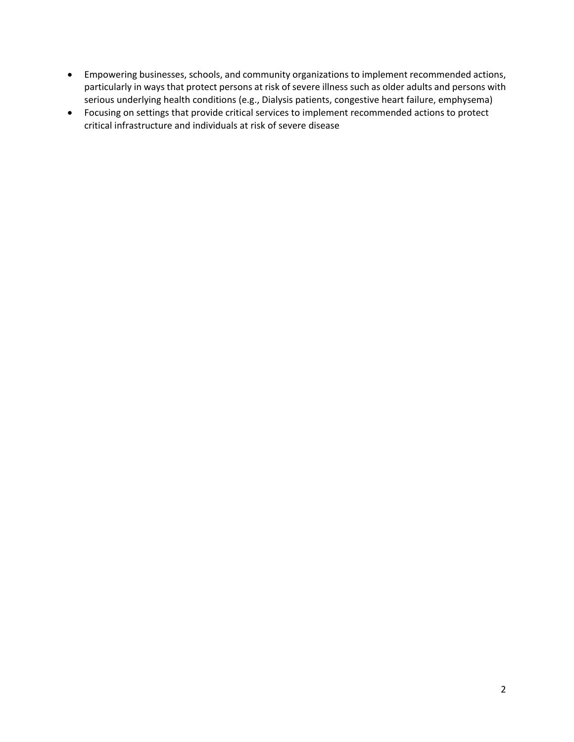- Empowering businesses, schools, and community organizations to implement recommended actions, particularly in ways that protect persons at risk of severe illness such as older adults and persons with serious underlying health conditions (e.g., Dialysis patients, congestive heart failure, emphysema)
- Focusing on settings that provide critical services to implement recommended actions to protect critical infrastructure and individuals at risk of severe disease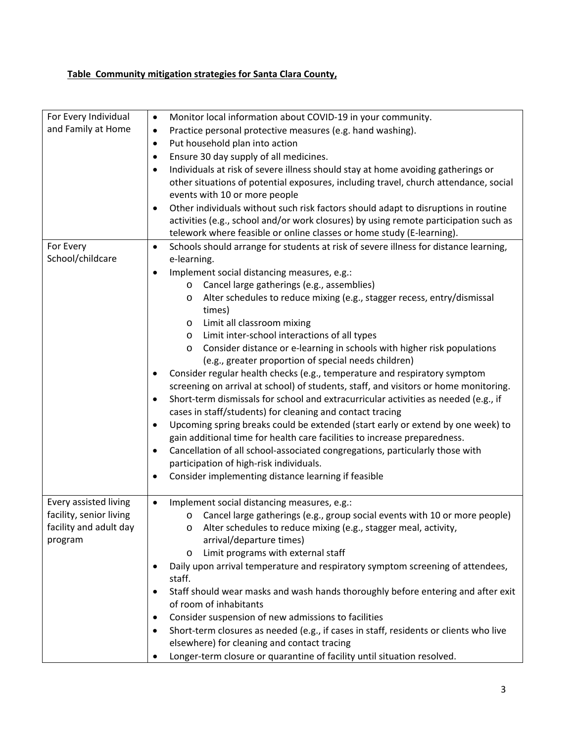## **Table Community mitigation strategies for Santa Clara County,**

| For Every Individual    | Monitor local information about COVID-19 in your community.<br>$\bullet$                           |
|-------------------------|----------------------------------------------------------------------------------------------------|
| and Family at Home      | Practice personal protective measures (e.g. hand washing).<br>$\bullet$                            |
|                         | Put household plan into action<br>$\bullet$                                                        |
|                         | Ensure 30 day supply of all medicines.<br>$\bullet$                                                |
|                         | Individuals at risk of severe illness should stay at home avoiding gatherings or<br>$\bullet$      |
|                         | other situations of potential exposures, including travel, church attendance, social               |
|                         | events with 10 or more people                                                                      |
|                         | Other individuals without such risk factors should adapt to disruptions in routine<br>$\bullet$    |
|                         | activities (e.g., school and/or work closures) by using remote participation such as               |
|                         | telework where feasible or online classes or home study (E-learning).                              |
| For Every               | Schools should arrange for students at risk of severe illness for distance learning,<br>$\bullet$  |
| School/childcare        | e-learning.                                                                                        |
|                         | Implement social distancing measures, e.g.:<br>$\bullet$                                           |
|                         | Cancel large gatherings (e.g., assemblies)<br>$\circ$                                              |
|                         | Alter schedules to reduce mixing (e.g., stagger recess, entry/dismissal<br>$\circ$                 |
|                         | times)                                                                                             |
|                         | Limit all classroom mixing<br>$\circ$                                                              |
|                         | Limit inter-school interactions of all types<br>$\circ$                                            |
|                         | Consider distance or e-learning in schools with higher risk populations<br>$\circ$                 |
|                         | (e.g., greater proportion of special needs children)                                               |
|                         | Consider regular health checks (e.g., temperature and respiratory symptom<br>$\bullet$             |
|                         | screening on arrival at school) of students, staff, and visitors or home monitoring.               |
|                         | Short-term dismissals for school and extracurricular activities as needed (e.g., if<br>$\bullet$   |
|                         | cases in staff/students) for cleaning and contact tracing                                          |
|                         | Upcoming spring breaks could be extended (start early or extend by one week) to<br>$\bullet$       |
|                         | gain additional time for health care facilities to increase preparedness.                          |
|                         | Cancellation of all school-associated congregations, particularly those with<br>$\bullet$          |
|                         | participation of high-risk individuals.                                                            |
|                         | Consider implementing distance learning if feasible<br>$\bullet$                                   |
|                         |                                                                                                    |
| Every assisted living   | Implement social distancing measures, e.g.:<br>$\bullet$                                           |
| facility, senior living | Cancel large gatherings (e.g., group social events with 10 or more people)<br>$\circ$              |
| facility and adult day  | o Alter schedules to reduce mixing (e.g., stagger meal, activity,                                  |
| program                 | arrival/departure times)                                                                           |
|                         | Limit programs with external staff<br>$\circ$                                                      |
|                         | Daily upon arrival temperature and respiratory symptom screening of attendees,<br>٠                |
|                         | staff.                                                                                             |
|                         | Staff should wear masks and wash hands thoroughly before entering and after exit<br>$\bullet$      |
|                         | of room of inhabitants                                                                             |
|                         | Consider suspension of new admissions to facilities<br>$\bullet$                                   |
|                         | Short-term closures as needed (e.g., if cases in staff, residents or clients who live<br>$\bullet$ |
|                         | elsewhere) for cleaning and contact tracing                                                        |
|                         | Longer-term closure or quarantine of facility until situation resolved.                            |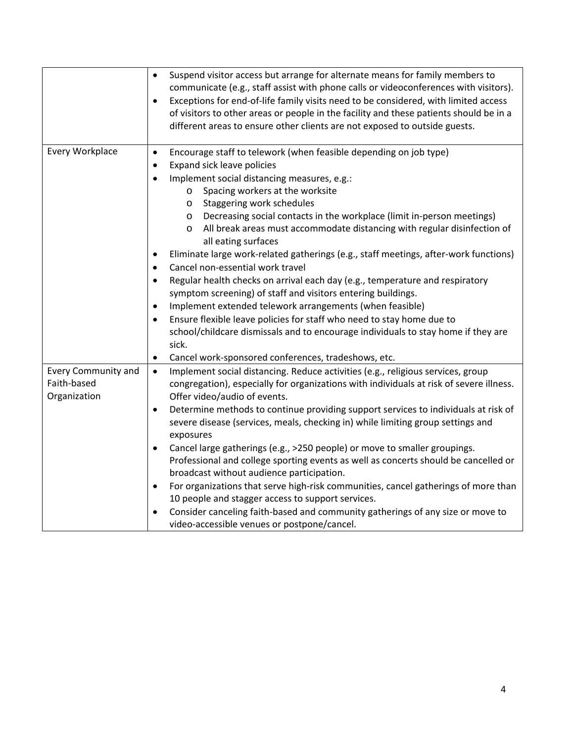|                                                           | Suspend visitor access but arrange for alternate means for family members to<br>$\bullet$<br>communicate (e.g., staff assist with phone calls or videoconferences with visitors).<br>Exceptions for end-of-life family visits need to be considered, with limited access<br>$\bullet$<br>of visitors to other areas or people in the facility and these patients should be in a<br>different areas to ensure other clients are not exposed to outside guests.                                                                                                                                                                                                                                                                                                                                     |
|-----------------------------------------------------------|---------------------------------------------------------------------------------------------------------------------------------------------------------------------------------------------------------------------------------------------------------------------------------------------------------------------------------------------------------------------------------------------------------------------------------------------------------------------------------------------------------------------------------------------------------------------------------------------------------------------------------------------------------------------------------------------------------------------------------------------------------------------------------------------------|
| Every Workplace                                           | Encourage staff to telework (when feasible depending on job type)<br>$\bullet$<br>Expand sick leave policies<br>$\bullet$<br>Implement social distancing measures, e.g.:<br>$\bullet$<br>Spacing workers at the worksite<br>$\circ$<br>Staggering work schedules<br>$\circ$<br>Decreasing social contacts in the workplace (limit in-person meetings)<br>$\circ$<br>All break areas must accommodate distancing with regular disinfection of<br>$\circ$<br>all eating surfaces<br>Eliminate large work-related gatherings (e.g., staff meetings, after-work functions)<br>$\bullet$<br>Cancel non-essential work travel<br>$\bullet$<br>Regular health checks on arrival each day (e.g., temperature and respiratory<br>$\bullet$<br>symptom screening) of staff and visitors entering buildings. |
|                                                           | Implement extended telework arrangements (when feasible)<br>$\bullet$                                                                                                                                                                                                                                                                                                                                                                                                                                                                                                                                                                                                                                                                                                                             |
|                                                           | Ensure flexible leave policies for staff who need to stay home due to<br>$\bullet$<br>school/childcare dismissals and to encourage individuals to stay home if they are<br>sick.                                                                                                                                                                                                                                                                                                                                                                                                                                                                                                                                                                                                                  |
|                                                           | Cancel work-sponsored conferences, tradeshows, etc.<br>$\bullet$                                                                                                                                                                                                                                                                                                                                                                                                                                                                                                                                                                                                                                                                                                                                  |
| <b>Every Community and</b><br>Faith-based<br>Organization | Implement social distancing. Reduce activities (e.g., religious services, group<br>$\bullet$<br>congregation), especially for organizations with individuals at risk of severe illness.<br>Offer video/audio of events.                                                                                                                                                                                                                                                                                                                                                                                                                                                                                                                                                                           |
|                                                           | Determine methods to continue providing support services to individuals at risk of<br>$\bullet$<br>severe disease (services, meals, checking in) while limiting group settings and<br>exposures                                                                                                                                                                                                                                                                                                                                                                                                                                                                                                                                                                                                   |
|                                                           | Cancel large gatherings (e.g., >250 people) or move to smaller groupings.<br>$\bullet$<br>Professional and college sporting events as well as concerts should be cancelled or<br>broadcast without audience participation.                                                                                                                                                                                                                                                                                                                                                                                                                                                                                                                                                                        |
|                                                           | For organizations that serve high-risk communities, cancel gatherings of more than<br>$\bullet$                                                                                                                                                                                                                                                                                                                                                                                                                                                                                                                                                                                                                                                                                                   |
|                                                           | 10 people and stagger access to support services.                                                                                                                                                                                                                                                                                                                                                                                                                                                                                                                                                                                                                                                                                                                                                 |
|                                                           | Consider canceling faith-based and community gatherings of any size or move to<br>$\bullet$<br>video-accessible venues or postpone/cancel.                                                                                                                                                                                                                                                                                                                                                                                                                                                                                                                                                                                                                                                        |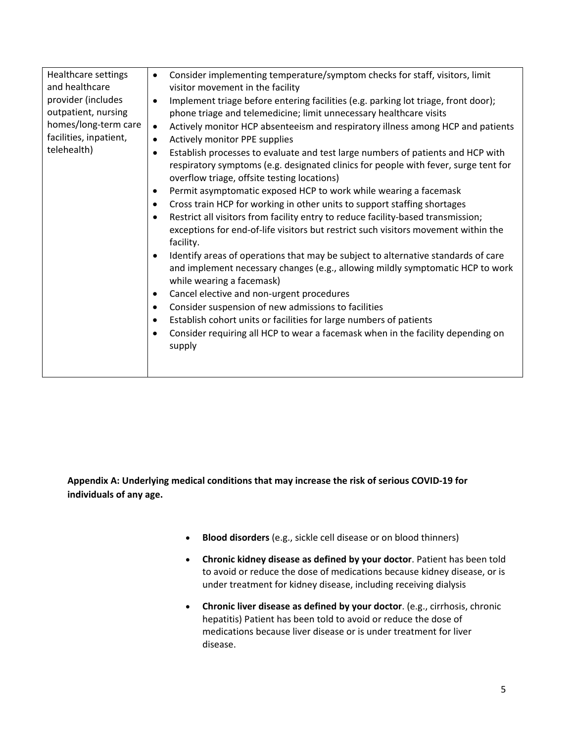| Healthcare settings    | Consider implementing temperature/symptom checks for staff, visitors, limit<br>$\bullet$        |
|------------------------|-------------------------------------------------------------------------------------------------|
| and healthcare         | visitor movement in the facility                                                                |
| provider (includes     | Implement triage before entering facilities (e.g. parking lot triage, front door);<br>$\bullet$ |
| outpatient, nursing    | phone triage and telemedicine; limit unnecessary healthcare visits                              |
| homes/long-term care   | Actively monitor HCP absenteeism and respiratory illness among HCP and patients<br>$\bullet$    |
| facilities, inpatient, | Actively monitor PPE supplies<br>$\bullet$                                                      |
| telehealth)            | Establish processes to evaluate and test large numbers of patients and HCP with<br>$\bullet$    |
|                        | respiratory symptoms (e.g. designated clinics for people with fever, surge tent for             |
|                        | overflow triage, offsite testing locations)                                                     |
|                        | Permit asymptomatic exposed HCP to work while wearing a facemask<br>$\bullet$                   |
|                        | Cross train HCP for working in other units to support staffing shortages<br>$\bullet$           |
|                        | Restrict all visitors from facility entry to reduce facility-based transmission;<br>$\bullet$   |
|                        | exceptions for end-of-life visitors but restrict such visitors movement within the              |
|                        | facility.                                                                                       |
|                        | Identify areas of operations that may be subject to alternative standards of care<br>$\bullet$  |
|                        | and implement necessary changes (e.g., allowing mildly symptomatic HCP to work                  |
|                        | while wearing a facemask)                                                                       |
|                        | Cancel elective and non-urgent procedures<br>$\bullet$                                          |
|                        | Consider suspension of new admissions to facilities<br>$\bullet$                                |
|                        | Establish cohort units or facilities for large numbers of patients<br>٠                         |
|                        | Consider requiring all HCP to wear a facemask when in the facility depending on<br>٠            |
|                        | supply                                                                                          |
|                        |                                                                                                 |
|                        |                                                                                                 |
|                        |                                                                                                 |

**Appendix A: Underlying medical conditions that may increase the risk of serious COVID-19 for individuals of any age.** 

- **Blood disorders** (e.g., sickle cell disease or on blood thinners)
- **Chronic kidney disease as defined by your doctor**. Patient has been told to avoid or reduce the dose of medications because kidney disease, or is under treatment for kidney disease, including receiving dialysis
- **Chronic liver disease as defined by your doctor**. (e.g., cirrhosis, chronic hepatitis) Patient has been told to avoid or reduce the dose of medications because liver disease or is under treatment for liver disease.